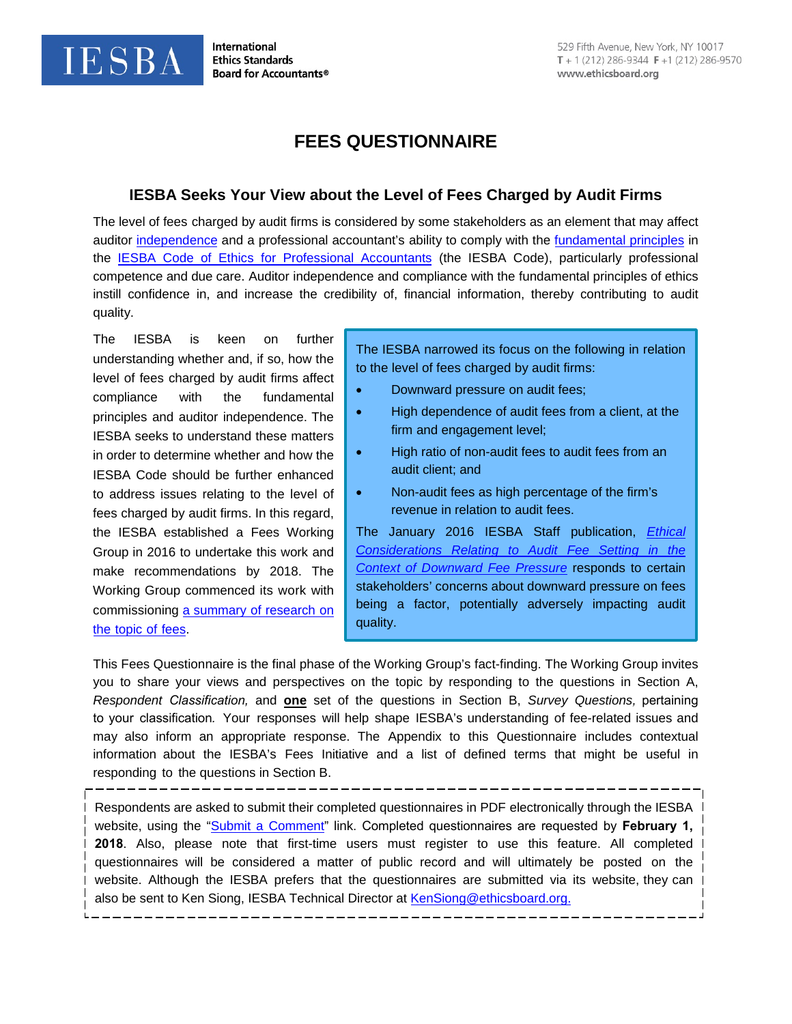**International Ethics Standards Board for Accountants®** 

**IESBA** 

# **FEES QUESTIONNAIRE**

## **IESBA Seeks Your View about the Level of Fees Charged by Audit Firms**

The level of fees charged by audit firms is considered by some stakeholders as an element that may affect auditor [independence](#page-14-0) and a professional accountant's ability to comply with the [fundamental principles](#page-15-0) in the [IESBA Code of Ethics for Professional Accountants](https://www.ethicsboard.org/iesba-code) (the IESBA Code), particularly professional competence and due care. Auditor independence and compliance with the fundamental principles of ethics instill confidence in, and increase the credibility of, financial information, thereby contributing to audit quality.

The IESBA is keen on further understanding whether and, if so, how the level of fees charged by audit firms affect compliance with the fundamental principles and auditor independence. The IESBA seeks to understand these matters in order to determine whether and how the IESBA Code should be further enhanced to address issues relating to the level of fees charged by audit firms. In this regard, the IESBA established a Fees Working Group in 2016 to undertake this work and make recommendations by 2018. The Working Grou[p commenced its work with](https://www.ethicsboard.org/system/files/meetings/files/Agenda-Item-6A-Fees-Summary-of-Research-Final-Report.pdf)  [commissioning](https://www.ethicsboard.org/system/files/meetings/files/Agenda-Item-6A-Fees-Summary-of-Research-Final-Report.pdf) a summary of research on the topic of fees.

The IESBA narrowed its focus on the following in relation to the level of fees charged by audit firms:

- Downward pressure on audit fees;
- High dependence of audit fees from a client, at the firm and engagement level;
- High ratio of non-audit fees to audit fees from an audit client; and
- Non-audit fees as high percentage of the firm's revenue in relation to audit fees.

The January 2016 IESBA Staff publication, *[Ethical](http://www.ifac.org/publications-resources/ethical-considerations-relating-audit-fee-setting-context-downward-fee)  [Considerations Relating to Audit Fee Setting in the](http://www.ifac.org/publications-resources/ethical-considerations-relating-audit-fee-setting-context-downward-fee)  [Context of Downward Fee Pressure](http://www.ifac.org/publications-resources/ethical-considerations-relating-audit-fee-setting-context-downward-fee)* responds to certain stakeholders' concerns about downward pressure on fees being a factor, potentially adversely impacting audit quality.

This Fees Questionnaire is the final phase of the Working Group's fact-finding. The Working Group invites you to share your views and perspectives on the topic by responding to the questions in Section A, *Respondent Classification,* and **one** set of the questions in Section B, *Survey Questions,* pertaining to your classification*.* Your responses will help shape IESBA's understanding of fee-related issues and may also inform an appropriate response. The Appendix to this Questionnaire includes contextual information about the IESBA's Fees Initiative and a list of defined terms that might be useful in responding to the questions in Section B.

Respondents are asked to submit their completed questionnaires in PDF electronically through the IESBA website, using the ["Submit a Comment"](https://www.ifac.org/publications-resources/iesba-fees-questionnaire) link. Completed questionnaires are requested by **February 1, 2018**. Also, please note that first-time users must register to use this feature. All completed questionnaires will be considered a matter of public record and will ultimately be posted on the website. Although the IESBA prefers that the questionnaires are sub[mitted via its website,](mailto:KenSiong@ethicsboard.org) they can also be sent to Ken Siong, IESBA Technical Director at KenSiong@ethicsboard.org.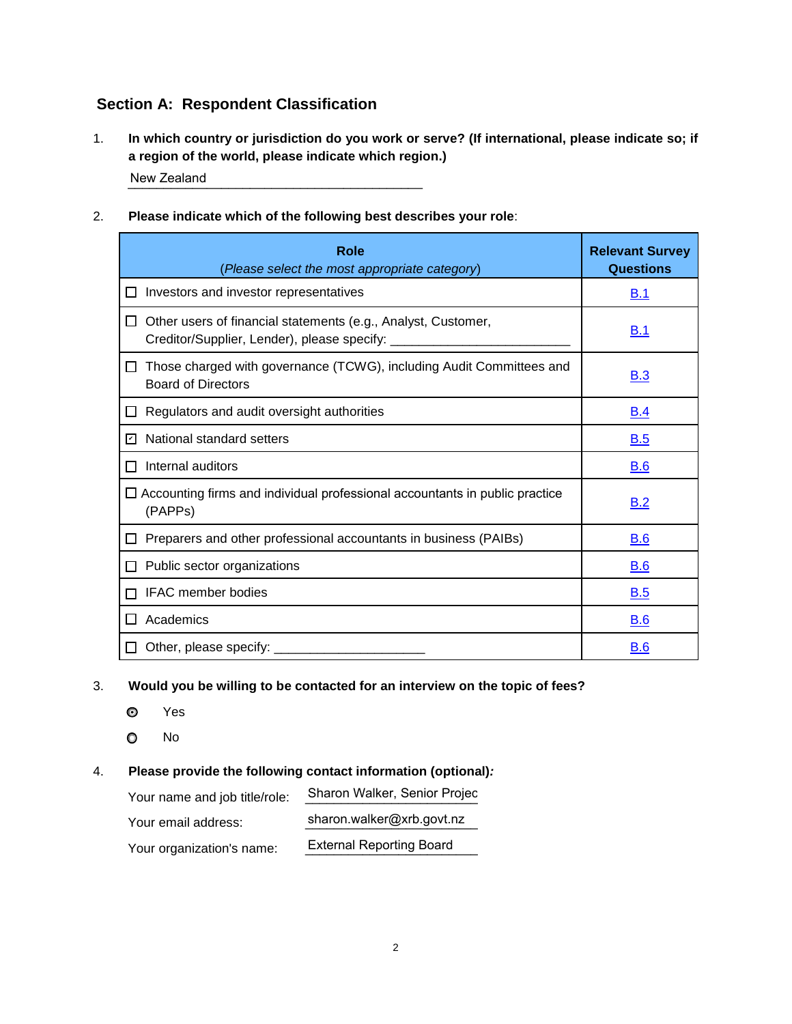## **Section A: Respondent Classification**

1. **In which country or jurisdiction do you work or serve? (If international, please indicate so; if a region of the world, please indicate which region.)**

\_\_\_\_\_\_\_\_\_\_\_\_\_\_\_\_\_\_\_\_\_\_\_\_\_\_\_\_\_\_\_\_\_\_\_\_\_\_\_\_\_ New Zealand

#### 2. **Please indicate which of the following best describes your role**:

| <b>Role</b><br>(Please select the most appropriate category)                                                                        | <b>Relevant Survey</b><br>Questions |
|-------------------------------------------------------------------------------------------------------------------------------------|-------------------------------------|
| Investors and investor representatives<br>$\Box$                                                                                    | <u>B.1</u>                          |
| Other users of financial statements (e.g., Analyst, Customer,<br>⊔<br>Creditor/Supplier, Lender), please specify: _________________ | <u>B.1</u>                          |
| Those charged with governance (TCWG), including Audit Committees and<br>ப<br><b>Board of Directors</b>                              | <u>B.3</u>                          |
| Regulators and audit oversight authorities                                                                                          | <u>B.4</u>                          |
| National standard setters<br>罓                                                                                                      | B.5                                 |
| Internal auditors                                                                                                                   | <b>B.6</b>                          |
| $\Box$ Accounting firms and individual professional accountants in public practice<br>(PAPPs)                                       | B.2                                 |
| Preparers and other professional accountants in business (PAIBs)                                                                    | <b>B.6</b>                          |
| Public sector organizations                                                                                                         | <u>B.6</u>                          |
| IFAC member bodies                                                                                                                  | <b>B.5</b>                          |
| Academics                                                                                                                           | <u>B.6</u>                          |
| Other, please specify: ________<br>LT.                                                                                              | <b>B.6</b>                          |

#### 3. **Would you be willing to be contacted for an interview on the topic of fees?**

- Yes
- O No

#### 4. **Please provide the following contact information (optional)***:*

| Your name and job title/role: | Sharon Walker, Senior Projec    |
|-------------------------------|---------------------------------|
| Your email address:           | sharon.walker@xrb.govt.nz       |
| Your organization's name:     | <b>External Reporting Board</b> |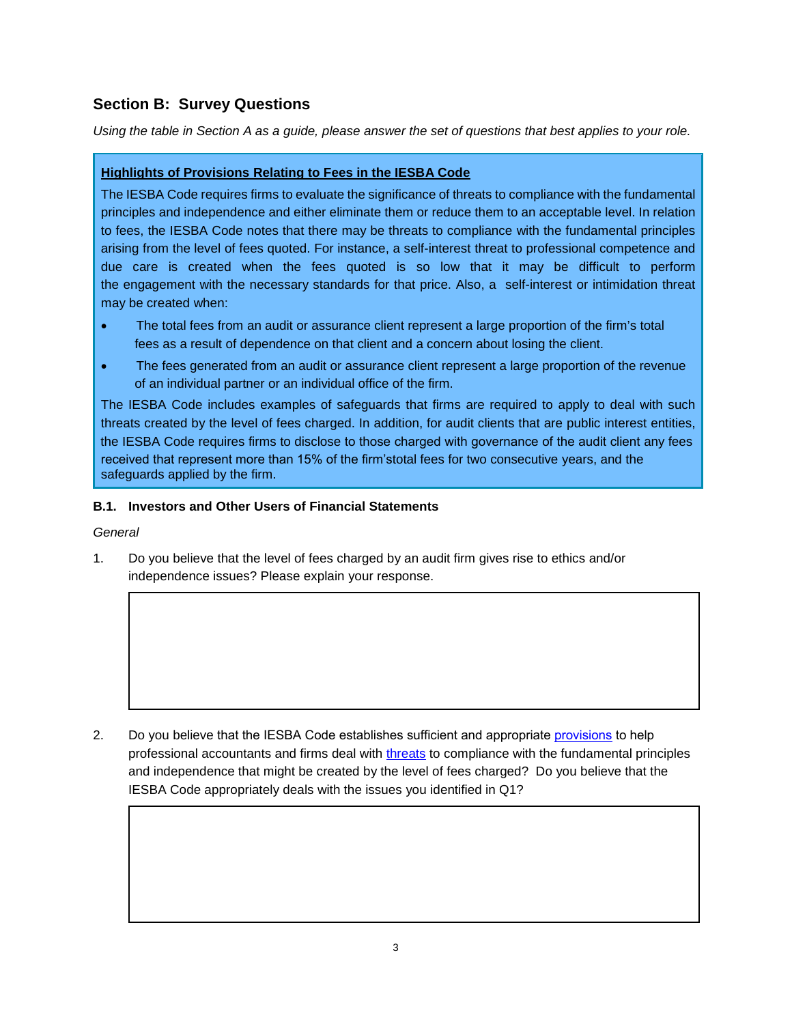## <span id="page-2-2"></span>**Section B: Survey Questions**

*Using the table in Section A as a guide, please answer the set of questions that best applies to your role.* 

### <span id="page-2-1"></span>**Highlights of Provisions Relating to Fees in the IESBA Code**

The IESBA Code requires firms to evaluate the significance of threats to compliance with the fundamental principles and independence and either eliminate them or reduce them to an acceptable level. In relation to fees, the IESBA Code notes that there may be threats to compliance with the fundamental principles arising from the level of fees quoted. For instance, a self-interest threat to professional competence and due care is created when the fees quoted is so low that it may be difficult to perform the engagement with the necessary standards for that price. Also, a self-interest or intimidation threat may be created when:

- The total fees from an audit or assurance client represent a large proportion of the firm's total fees as a result of dependence on that client and a concern about losing the client.
- The fees generated from an audit or assurance client represent a large proportion of the revenue of an individual partner or an individual office of the firm.

The IESBA Code includes examples of safeguards that firms are required to apply to deal with such threats created by the level of fees charged. In addition, for audit clients that are public interest entities, the IESBA Code requires firms to disclose to those charged with governance of the audit client any fees received that represent more than 15% of the firm'stotal fees for two consecutive years, and the safeguards applied by the firm.

#### <span id="page-2-0"></span>**B.1. Investors and Other Users of Financial Statements**

#### *General*

1. Do you believe that the level of fees charged by an audit firm gives rise to ethics and/or independence issues? Please explain your response.

2. Do you believe that the IESBA Code establishes sufficient and appropri[ate provisio](#page-2-1)ns to help professional accountants and firms deal with [threats](#page-15-1) to compliance with the fundamental principles and independence that might be created by the level of fees charged? Do you believe that the IESBA Code appropriately deals with the issues you identified in Q1?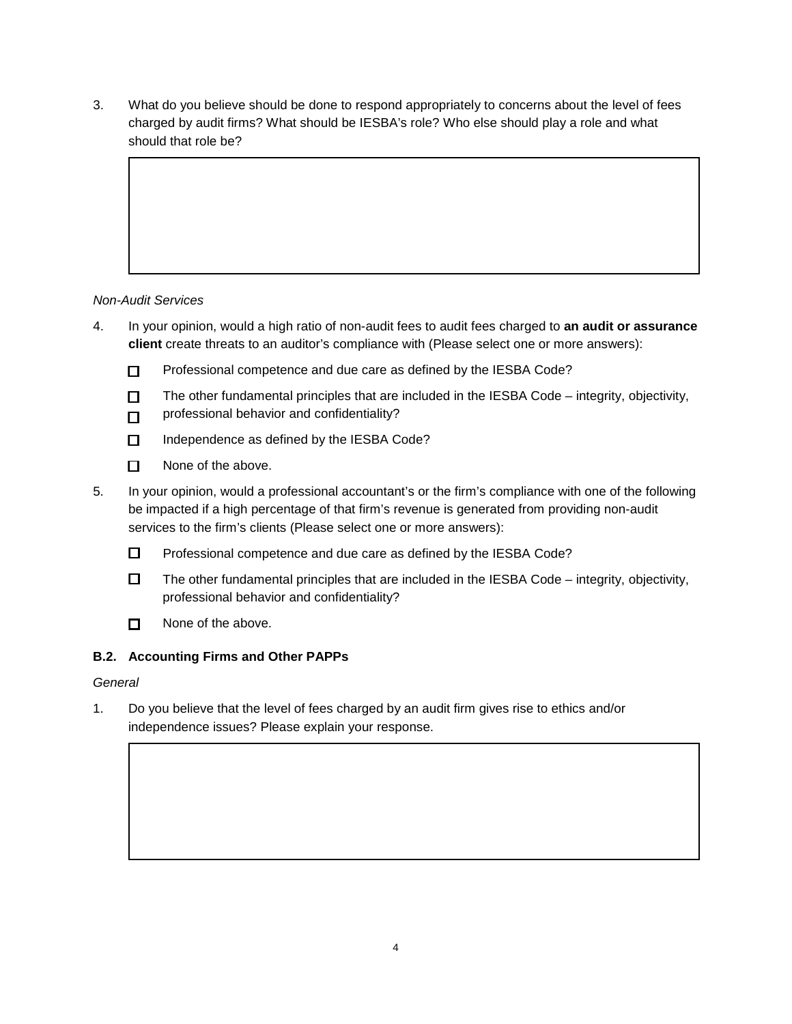3. What do you believe should be done to respond appropriately to concerns about the level of fees charged by audit firms? What should be IESBA's role? Who else should play a role and what should that role be?

### *Non-Audit Services*

- 4. In your opinion, would a high ratio of non-audit fees to audit fees charged to **an audit or assurance client** create threats to an auditor's compliance with (Please select one or more answers):
	- $\n *P*rofessional competence and due care as defined by the IESBA Code?$
	- $\square$  The other fundamental principles that are included in the IESBA Code integrity, objectivity,
	- professional behavior and confidentiality?  $\Box$
	- $\Pi$  Independence as defined by the IESBA Code?
	- $\Box$  None of the above.
- 5. In your opinion, would a professional accountant's or the firm's compliance with one of the following be impacted if a high percentage of that firm's revenue is generated from providing non-audit services to the firm's clients (Please select one or more answers):
	- $\square$  Professional competence and due care as defined by the IESBA Code?
	- $\Box$  The other fundamental principles that are included in the IESBA Code integrity, objectivity, professional behavior and confidentiality?
	- $\Box$  None of the above.

#### <span id="page-3-0"></span>**B.2. Accounting Firms and Other PAPPs**

#### *General*

1. Do you believe that the level of fees charged by an audit firm gives rise to ethics and/or independence issues? Please explain your response.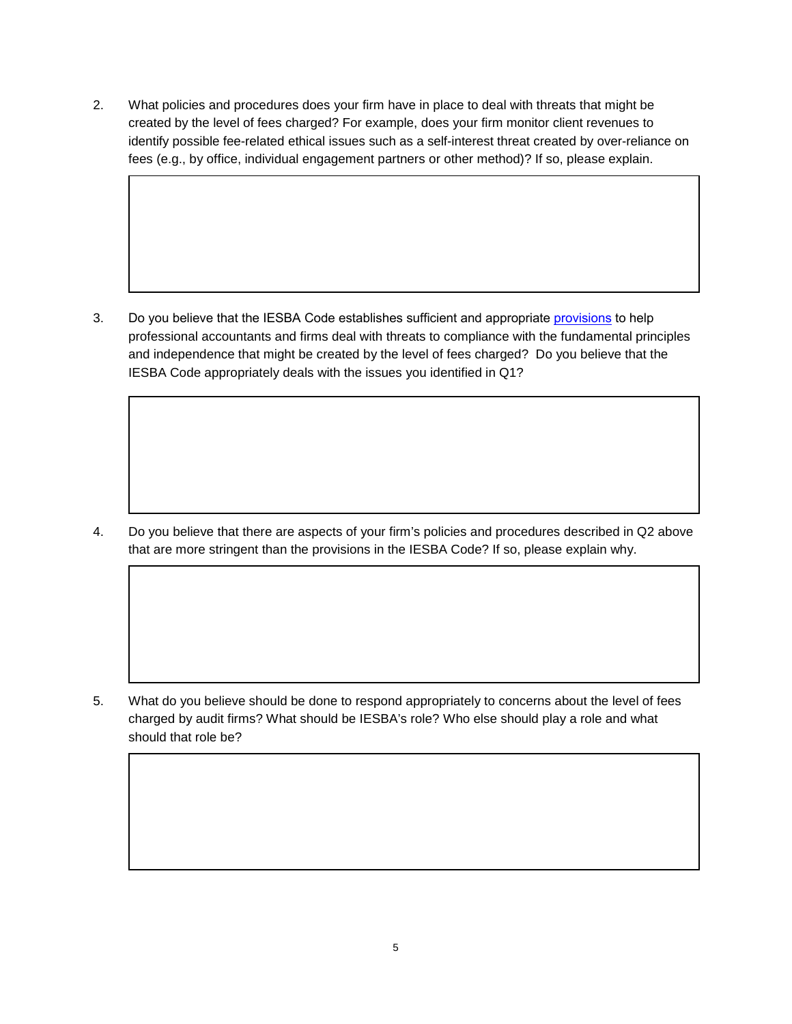2. What policies and procedures does your firm have in place to deal with threats that might be created by the level of fees charged? For example, does your firm monitor client revenues to identify possible fee-related ethical issues such as a self-interest threat created by over-reliance on fees (e.g., by office, individual engagement partners or other method)? If so, please explain.

3. Do you believe that the IESBA Code establishes sufficient and appropriate [provisions](#page-2-2) to help professional accountants and firms deal with threats to compliance with the fundamental principles and independence that might be created by the level of fees charged? Do you believe that the IESBA Code appropriately deals with the issues you identified in Q1?

4. Do you believe that there are aspects of your firm's policies and procedures described in Q2 above that are more stringent than the provisions in the IESBA Code? If so, please explain why.

5. What do you believe should be done to respond appropriately to concerns about the level of fees charged by audit firms? What should be IESBA's role? Who else should play a role and what should that role be?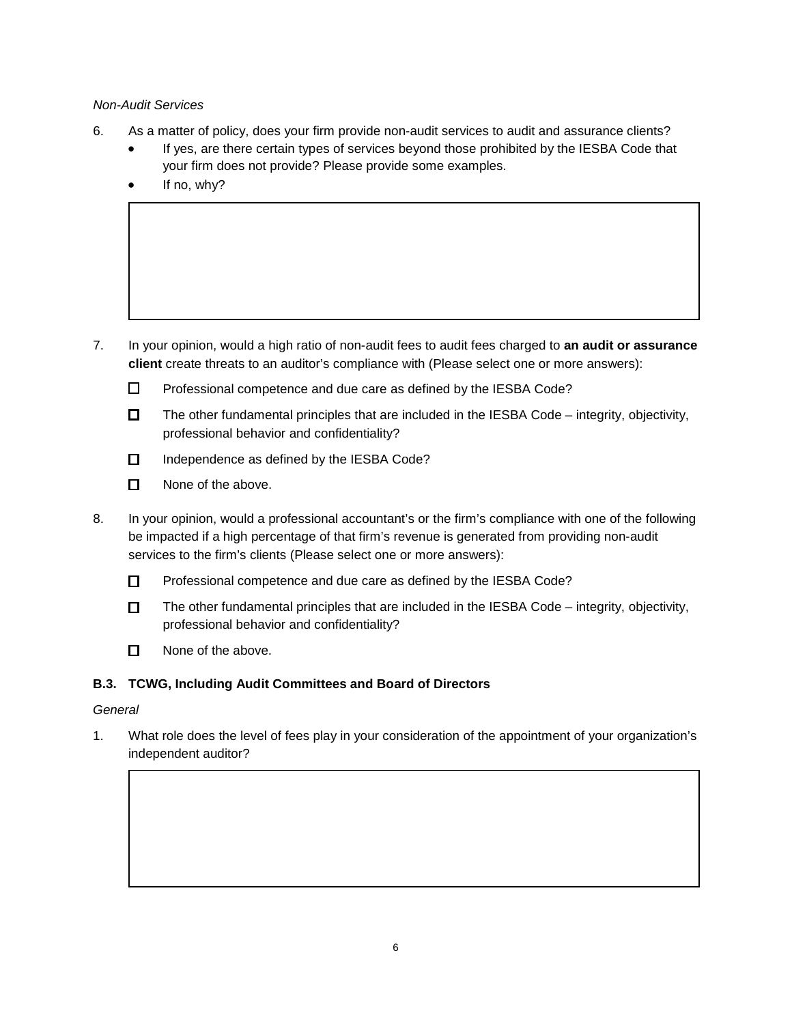#### *Non-Audit Services*

- 6. As a matter of policy, does your firm provide non-audit services to audit and assurance clients?
	- If yes, are there certain types of services beyond those prohibited by the IESBA Code that your firm does not provide? Please provide some examples.
	- If no, why?

- 7. In your opinion, would a high ratio of non-audit fees to audit fees charged to **an audit or assurance client** create threats to an auditor's compliance with (Please select one or more answers):
	- $\square$  Professional competence and due care as defined by the IESBA Code?
	- $\Box$  The other fundamental principles that are included in the IESBA Code integrity, objectivity, professional behavior and confidentiality?
	- $\Box$  Independence as defined by the IESBA Code?
	- $\Box$  None of the above.
- 8. In your opinion, would a professional accountant's or the firm's compliance with one of the following be impacted if a high percentage of that firm's revenue is generated from providing non-audit services to the firm's clients (Please select one or more answers):
	- □ Professional competence and due care as defined by the IESBA Code?
	- $\Box$  The other fundamental principles that are included in the IESBA Code integrity, objectivity, professional behavior and confidentiality?
	- $\Box$  None of the above.

## <span id="page-5-0"></span>**B.3. TCWG, Including Audit Committees and Board of Directors**

#### *General*

1. What role does the level of fees play in your consideration of the appointment of your organization's independent auditor?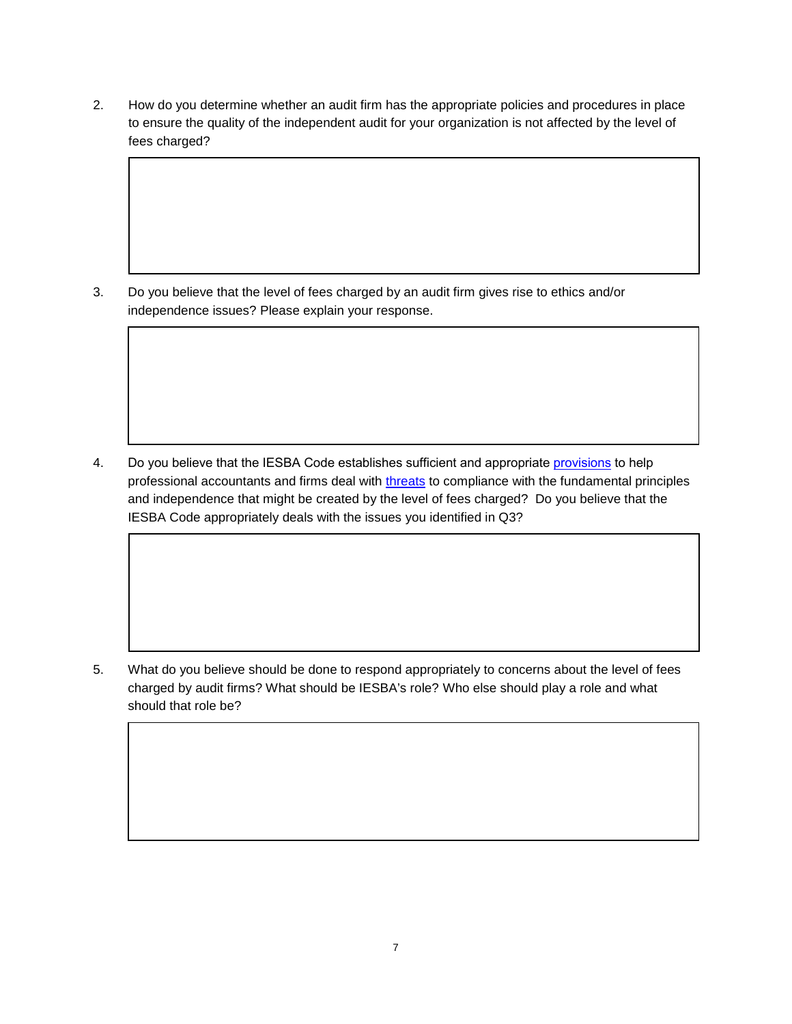2. How do you determine whether an audit firm has the appropriate policies and procedures in place to ensure the quality of the independent audit for your organization is not affected by the level of fees charged?

3. Do you believe that the level of fees charged by an audit firm gives rise to ethics and/or independence issues? Please explain your response.

4. Do you believe that the IESBA Code establishes sufficient and appropri[ate provisio](#page-2-1)ns to help professional accountants and firms deal with [threats](#page-15-1) to compliance with the fundamental principles and independence that might be created by the level of fees charged? Do you believe that the IESBA Code appropriately deals with the issues you identified in Q3?

5. What do you believe should be done to respond appropriately to concerns about the level of fees charged by audit firms? What should be IESBA's role? Who else should play a role and what should that role be?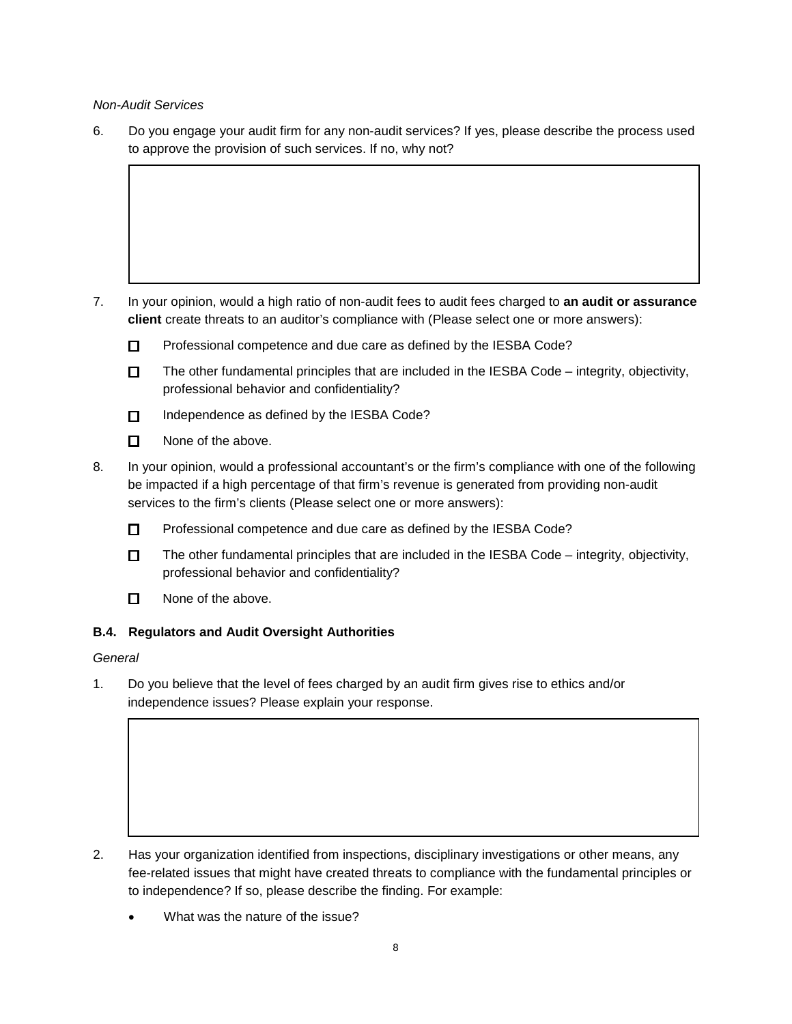*Non-Audit Services*

6. Do you engage your audit firm for any non-audit services? If yes, please describe the process used to approve the provision of such services. If no, why not?

- 7. In your opinion, would a high ratio of non-audit fees to audit fees charged to **an audit or assurance client** create threats to an auditor's compliance with (Please select one or more answers):
	- $\square$  Professional competence and due care as defined by the IESBA Code?
	- $\Box$  The other fundamental principles that are included in the IESBA Code integrity, objectivity, professional behavior and confidentiality?
	- Independence as defined by the IESBA Code?
	- $\Pi$  None of the above.
- 8. In your opinion, would a professional accountant's or the firm's compliance with one of the following be impacted if a high percentage of that firm's revenue is generated from providing non-audit services to the firm's clients (Please select one or more answers):
	- □ Professional competence and due care as defined by the IESBA Code?
	- $\Box$  The other fundamental principles that are included in the IESBA Code integrity, objectivity, professional behavior and confidentiality?
	- $\Box$  None of the above.

#### <span id="page-7-0"></span>**B.4. Regulators and Audit Oversight Authorities**

*General*

1. Do you believe that the level of fees charged by an audit firm gives rise to ethics and/or independence issues? Please explain your response.

- 2. Has your organization identified from inspections, disciplinary investigations or other means, any fee-related issues that might have created threats to compliance with the fundamental principles or to independence? If so, please describe the finding. For example:
	- What was the nature of the issue?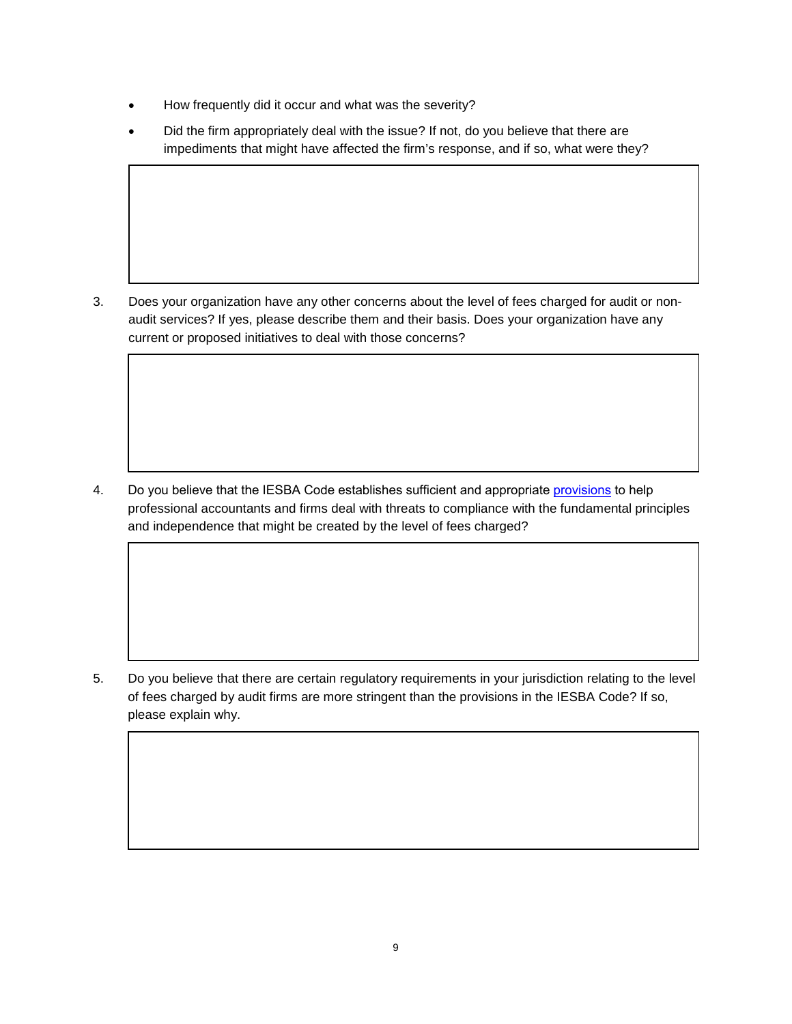- How frequently did it occur and what was the severity?
- Did the firm appropriately deal with the issue? If not, do you believe that there are impediments that might have affected the firm's response, and if so, what were they?

3. Does your organization have any other concerns about the level of fees charged for audit or nonaudit services? If yes, please describe them and their basis. Does your organization have any current or proposed initiatives to deal with those concerns?

4. Do you believe that the IESBA Code establishes sufficient and appropriate [provisions](#page-2-2) to help professional accountants and firms deal with threats to compliance with the fundamental principles and independence that might be created by the level of fees charged?

5. Do you believe that there are certain regulatory requirements in your jurisdiction relating to the level of fees charged by audit firms are more stringent than the provisions in the IESBA Code? If so, please explain why.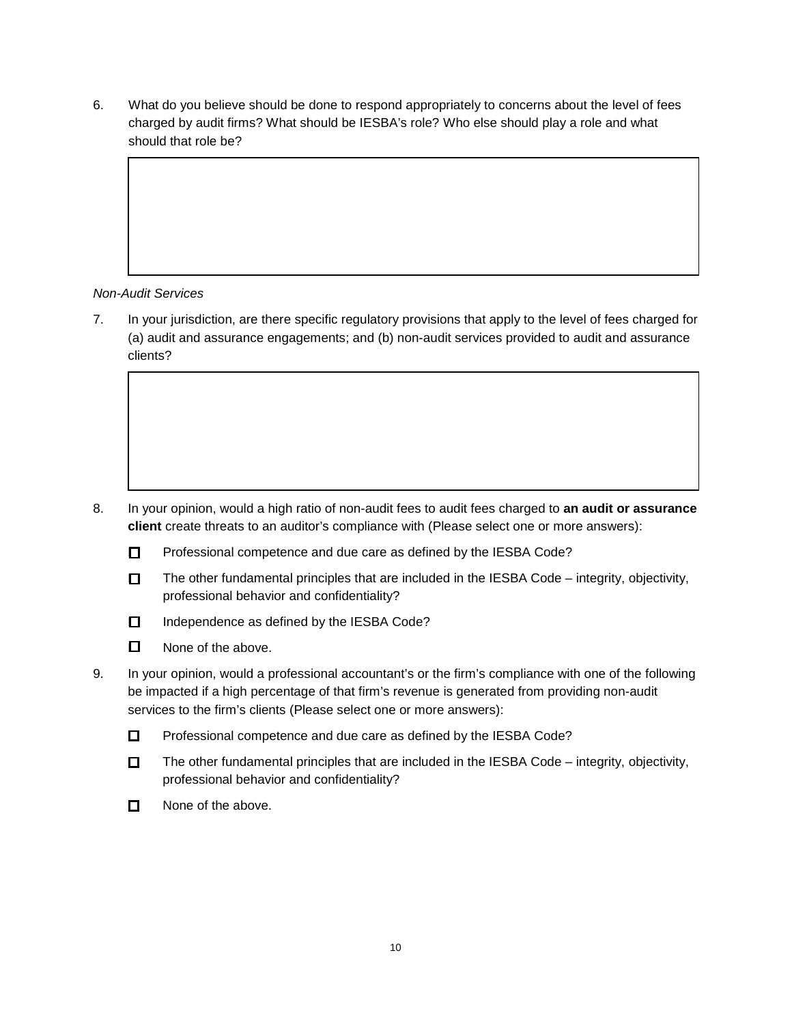6. What do you believe should be done to respond appropriately to concerns about the level of fees charged by audit firms? What should be IESBA's role? Who else should play a role and what should that role be?

### *Non-Audit Services*

7. In your jurisdiction, are there specific regulatory provisions that apply to the level of fees charged for (a) audit and assurance engagements; and (b) non-audit services provided to audit and assurance clients?

- 8. In your opinion, would a high ratio of non-audit fees to audit fees charged to **an audit or assurance client** create threats to an auditor's compliance with (Please select one or more answers):
	- $\square$  Professional competence and due care as defined by the IESBA Code?
	- $\Box$  The other fundamental principles that are included in the IESBA Code integrity, objectivity, professional behavior and confidentiality?
	- Independence as defined by the IESBA Code?
	- $\Box$  None of the above.
- 9. In your opinion, would a professional accountant's or the firm's compliance with one of the following be impacted if a high percentage of that firm's revenue is generated from providing non-audit services to the firm's clients (Please select one or more answers):
	- $\square$  Professional competence and due care as defined by the IESBA Code?
	- $\Box$  The other fundamental principles that are included in the IESBA Code integrity, objectivity, professional behavior and confidentiality?
	- $\Box$  None of the above.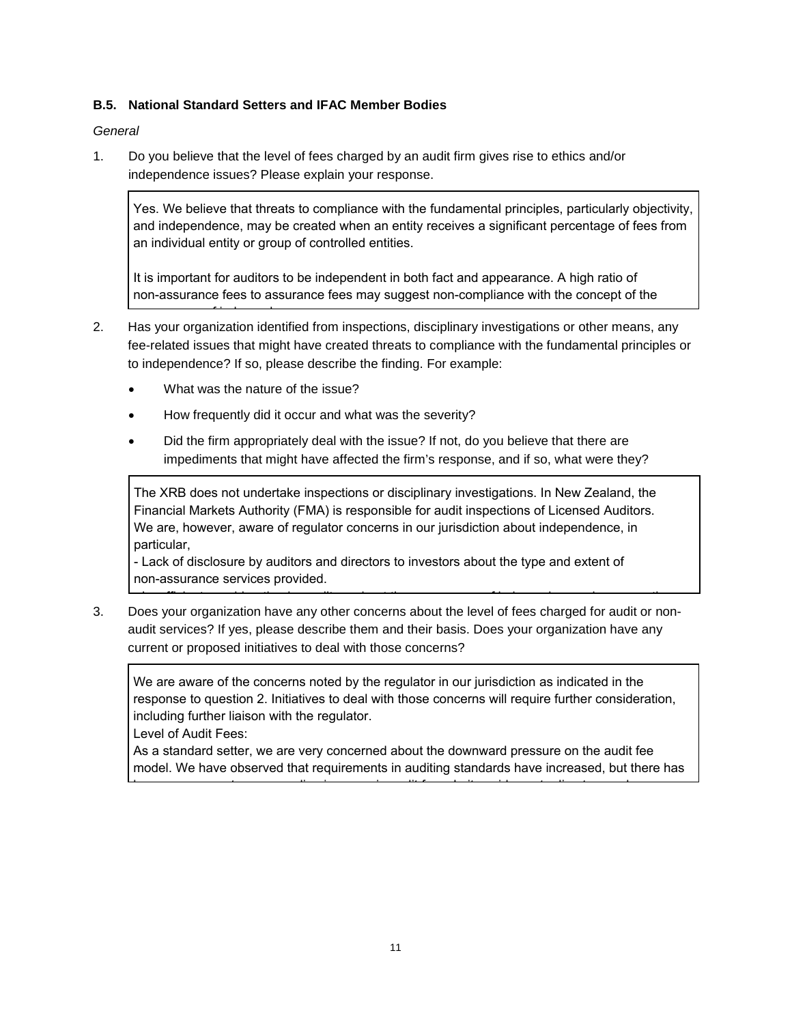#### <span id="page-10-0"></span>**B.5. National Standard Setters and IFAC Member Bodies**

*General* 

1. Do you believe that the level of fees charged by an audit firm gives rise to ethics and/or independence issues? Please explain your response.

Yes. We believe that threats to compliance with the fundamental principles, particularly objectivity, and independence, may be created when an entity receives a significant percentage of fees from an individual entity or group of controlled entities.

It is important for auditors to be independent in both fact and appearance. A high ratio of non-assurance fees to assurance fees may suggest non-compliance with the concept of the

- 2. Has your organization identified from inspections, disciplinary investigations or other means, any fee-related issues that might have created threats to compliance with the fundamental principles or to independence? If so, please describe the finding. For example: appearance of independence.
	- What was the nature of the issue?
	- How frequently did it occur and what was the severity?
	- Did the firm appropriately deal with the issue? If not, do you believe that there are impediments that might have affected the firm's response, and if so, what were they?

The XRB does not undertake inspections or disciplinary investigations. In New Zealand, the Financial Markets Authority (FMA) is responsible for audit inspections of Licensed Auditors. We are, however, aware of regulator concerns in our jurisdiction about independence, in particular,

- Lack of disclosure by auditors and directors to investors about the type and extent of non-assurance services provided.

3. Does your organization have any other concerns about the level of fees charged for audit or nonaudit services? If yes, please describe them and their basis. Does your organization have any current or proposed initiatives to deal with those concerns?

We are aware of the concerns noted by the regulator in our jurisdiction as indicated in the response to question 2. Initiatives to deal with those concerns will require further consideration, including further liaison with the regulator.

- Insufficient consideration by auditors about the appearance of independence when a consideration  $\alpha$ 

Level of Audit Fees:

As a standard setter, we are very concerned about the downward pressure on the audit fee model. We have observed that requirements in auditing standards have increased, but there has

been no apparent corresponding increase in audit fees. In its guidance to directors and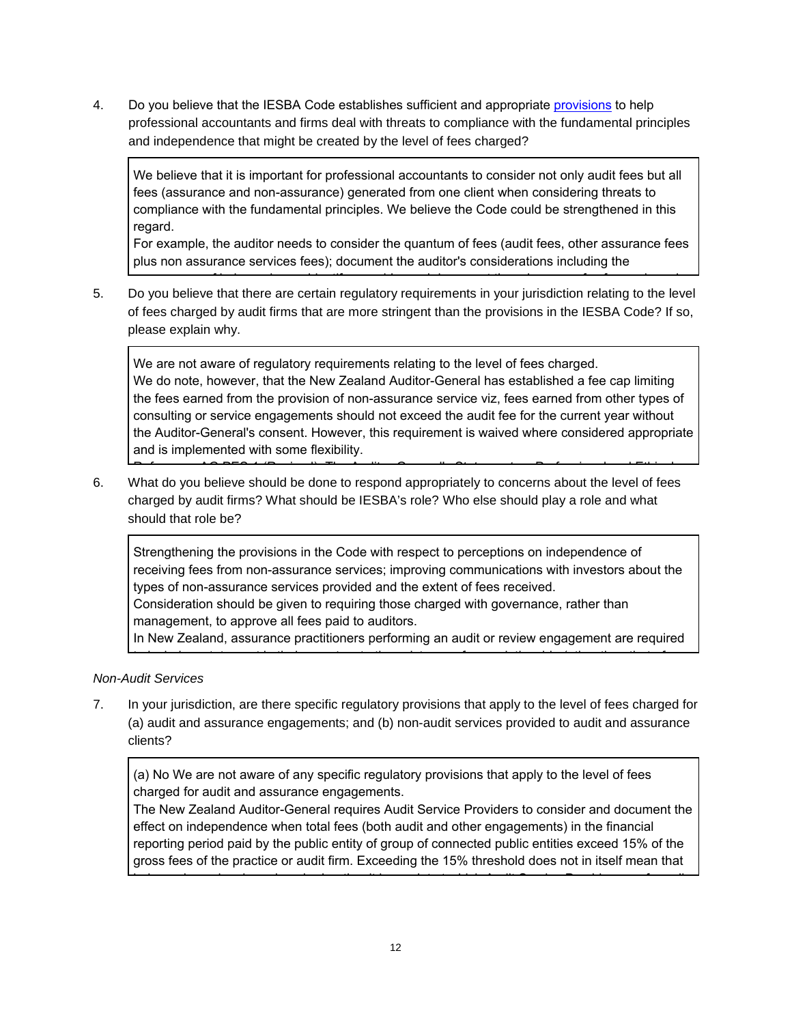4. Do you believe that the IESBA Code establishes sufficient and appropriate [provisions](#page-2-2) to help professional accountants and firms deal with threats to compliance with the fundamental principles and independence that might be created by the level of fees charged?

We believe that it is important for professional accountants to consider not only audit fees but all fees (assurance and non-assurance) generated from one client when considering threats to compliance with the fundamental principles. We believe the Code could be strengthened in this regard.

For example, the auditor needs to consider the quantum of fees (audit fees, other assurance fees plus non assurance services fees); document the auditor's considerations including the

5. Do you believe that there are certain regulatory requirements in your jurisdiction relating to the level of fees charged by audit firms that are more stringent than the provisions in the IESBA Code? If so, please explain why. appearance of independence; identify, consider and document the adequacy of safeguards and

We are not aware of regulatory requirements relating to the level of fees charged. We do note, however, that the New Zealand Auditor-General has established a fee cap limiting the fees earned from the provision of non-assurance service viz, fees earned from other types of consulting or service engagements should not exceed the audit fee for the current year without the Auditor-General's consent. However, this requirement is waived where considered appropriate and is implemented with some flexibility.

6. What do you believe should be done to respond appropriately to concerns about the level of fees charged by audit firms? What should be IESBA's role? Who else should play a role and what should that role be? Reference: AG PES 1 (Revised), The Auditor-General's Statement on Professional and Ethical

Strengthening the provisions in the Code with respect to perceptions on independence of receiving fees from non-assurance services; improving communications with investors about the types of non-assurance services provided and the extent of fees received. Consideration should be given to requiring those charged with governance, rather than management, to approve all fees paid to auditors. In New Zealand, assurance practitioners performing an audit or review engagement are required

## **Non-Audit Services** assurance practitioners which the assurance practitioner has with the assurance property which the assurance property which the assurance property which the assurance property which the assurance prope

7. In your jurisdiction, are there specific regulatory provisions that apply to the level of fees charged for (a) audit and assurance engagements; and (b) non-audit services provided to audit and assurance clients?  $R$  (Nazi  $R$ )  $R$  (Revised),  $R$  (Reporting on  $R$  and  $R$  and  $R$  and  $R$  and  $R$  and  $R$  is a  $R$  -individual  $S$  on  $R$  and  $R$  and  $R$  and  $R$  and  $R$  and  $R$  and  $R$  and  $R$  and  $R$  and  $R$  and  $R$  and  $R$  and  $R$  a

to include a statement in the existence of any relationship (other than that of  $\alpha$ 

(a) No We are not aware of any specific regulatory provisions that apply to the level of fees charged for audit and assurance engagements.

paragraph NZ28.1; ISRE (NZ) 2400, Review of Historical Financial Statements Performed by an

The New Zealand Auditor-General requires Audit Service Providers to consider and document the effect on independence when total fees (both audit and other engagements) in the financial reporting period paid by the public entity of group of connected public entities exceed 15% of the gross fees of the practice or audit firm. Exceeding the 15% threshold does not in itself mean that

independence has been impaired, rather it is a point at which Audit Service Providers are formally

- whether the audit first first with the audit first with the locations in which the business operators in  $\mathcal{S}$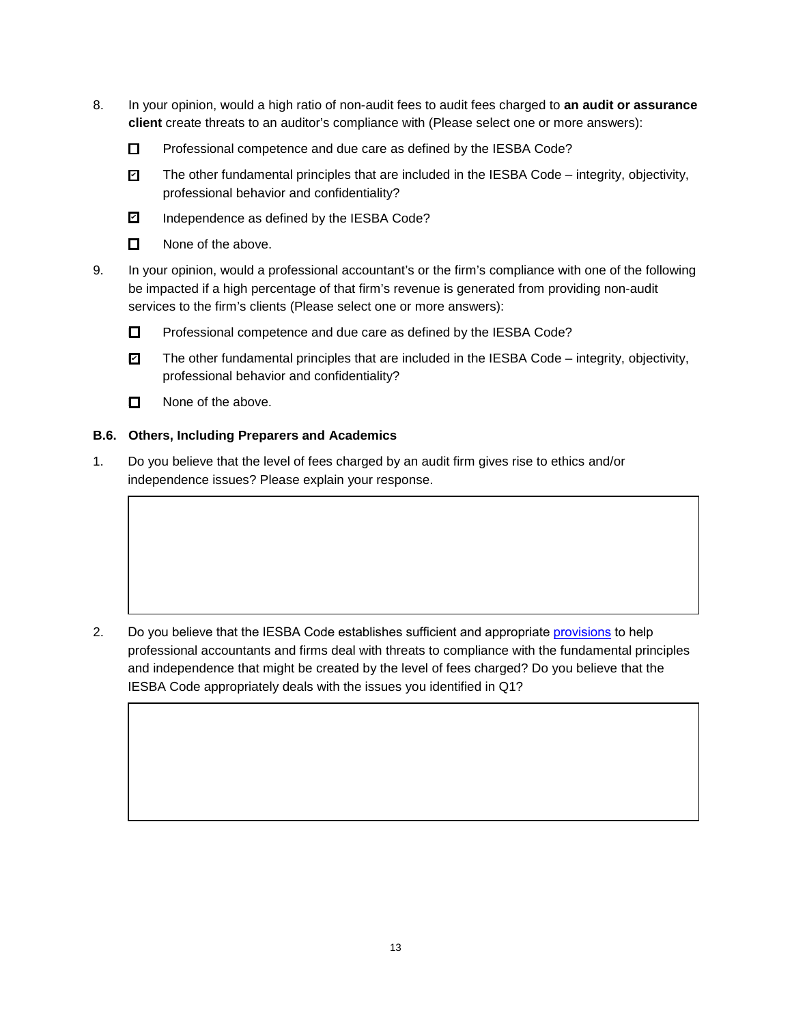- 8. In your opinion, would a high ratio of non-audit fees to audit fees charged to **an audit or assurance client** create threats to an auditor's compliance with (Please select one or more answers):
	- $\square$  Professional competence and due care as defined by the IESBA Code?
	- The other fundamental principles that are included in the IESBA Code integrity, objectivity, professional behavior and confidentiality?  $\overline{v}$
	- Independence as defined by the IESBA Code? ✔
	- $\Box$  None of the above.
- 9. In your opinion, would a professional accountant's or the firm's compliance with one of the following be impacted if a high percentage of that firm's revenue is generated from providing non-audit services to the firm's clients (Please select one or more answers):
	- □ Professional competence and due care as defined by the IESBA Code?
	- The other fundamental principles that are included in the IESBA Code integrity, objectivity, professional behavior and confidentiality?  $\blacksquare$
	- $\Box$  None of the above.

#### <span id="page-12-0"></span>**B.6. Others, Including Preparers and Academics**

1. Do you believe that the level of fees charged by an audit firm gives rise to ethics and/or independence issues? Please explain your response.

2. Do you believe that the IESBA Code establishes sufficient and appropriate [provisions](#page-2-2) to help professional accountants and firms deal with threats to compliance with the fundamental principles and independence that might be created by the level of fees charged? Do you believe that the IESBA Code appropriately deals with the issues you identified in Q1?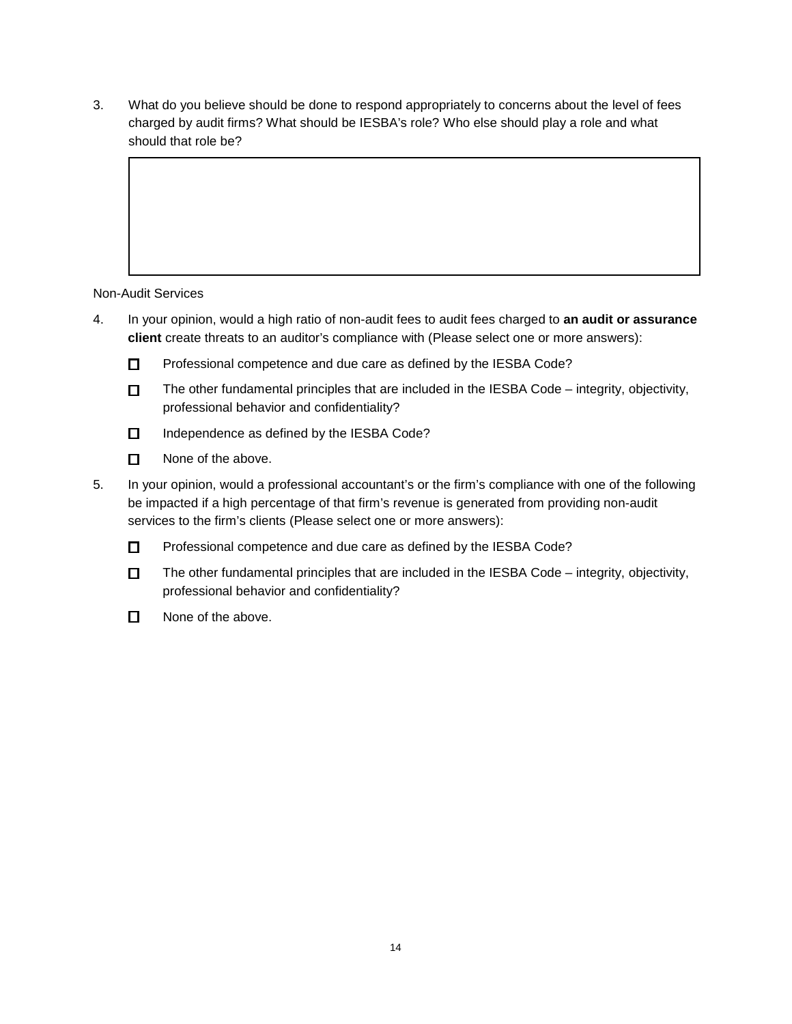3. What do you believe should be done to respond appropriately to concerns about the level of fees charged by audit firms? What should be IESBA's role? Who else should play a role and what should that role be?

Non-Audit Services

- 4. In your opinion, would a high ratio of non-audit fees to audit fees charged to **an audit or assurance client** create threats to an auditor's compliance with (Please select one or more answers):
	- Professional competence and due care as defined by the IESBA Code?
	- $\square$  The other fundamental principles that are included in the IESBA Code integrity, objectivity, professional behavior and confidentiality?
	- $\Box$  Independence as defined by the IESBA Code?
	- □ None of the above.
- 5. In your opinion, would a professional accountant's or the firm's compliance with one of the following be impacted if a high percentage of that firm's revenue is generated from providing non-audit services to the firm's clients (Please select one or more answers):
	- □ Professional competence and due care as defined by the IESBA Code?
	- $\square$  The other fundamental principles that are included in the IESBA Code integrity, objectivity, professional behavior and confidentiality?
	- $\Box$  None of the above.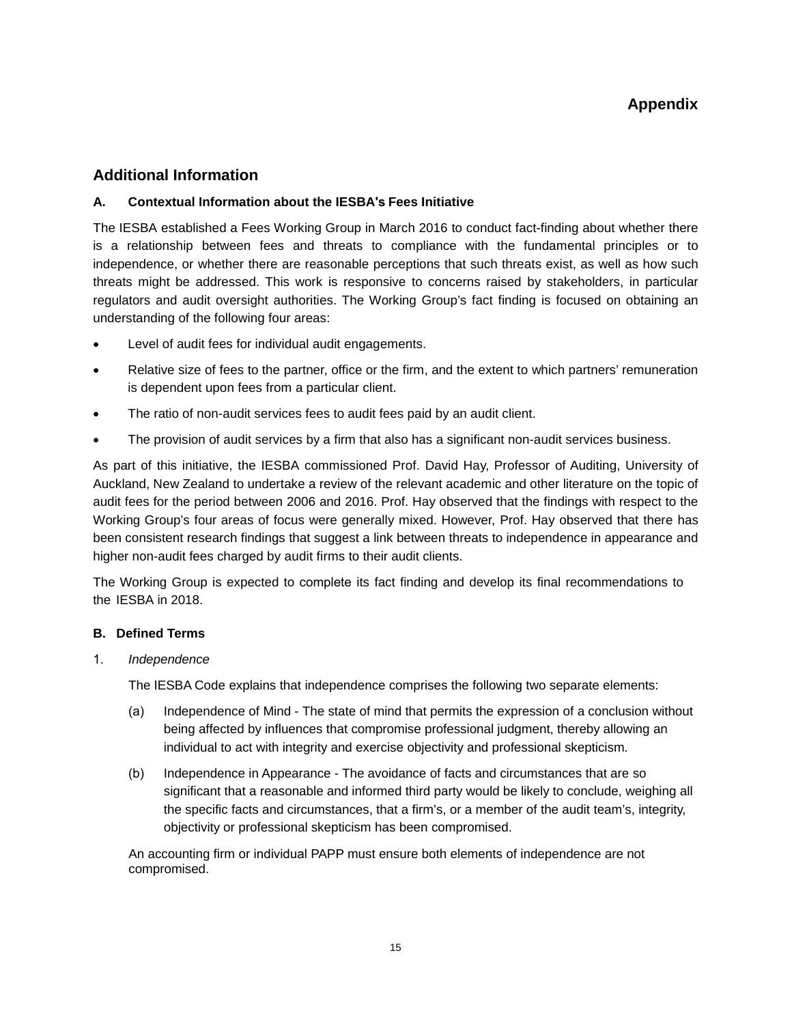## **Additional Information**

#### **A. Contextual Information about the IESBA's Fees Initiative**

The IESBA established a Fees Working Group in March 2016 to conduct fact-finding about whether there is a relationship between fees and threats to compliance with the fundamental principles or to independence, or whether there are reasonable perceptions that such threats exist, as well as how such threats might be addressed. This work is responsive to concerns raised by stakeholders, in particular regulators and audit oversight authorities. The Working Group's fact finding is focused on obtaining an understanding of the following four areas:

- Level of audit fees for individual audit engagements.
- Relative size of fees to the partner, office or the firm, and the extent to which partners' remuneration is dependent upon fees from a particular client.
- The ratio of non-audit services fees to audit fees paid by an audit client.
- The provision of audit services by a firm that also has a significant non-audit services business.

As part of this initiative, the IESBA commissioned Prof. David Hay, Professor of Auditing, University of Auckland, New Zealand to undertake a review of the relevant academic and other literature on the topic of audit fees for the period between 2006 and 2016. Prof. Hay observed that the findings with respect to the Working Group's four areas of focus were generally mixed. However, Prof. Hay observed that there has been consistent research findings that suggest a link between threats to independence in appearance and higher non-audit fees charged by audit firms to their audit clients.

The Working Group is expected to complete its fact finding and develop its final recommendations to the IESBA in 2018.

#### **B. Defined Terms**

<span id="page-14-0"></span>1. *Independence*

The IESBA Code explains that independence comprises the following two separate elements:

- (a) Independence of Mind The state of mind that permits the expression of a conclusion without being affected by influences that compromise professional judgment, thereby allowing an individual to act with integrity and exercise objectivity and professional skepticism.
- (b) Independence in Appearance The avoidance of facts and circumstances that are so significant that a reasonable and informed third party would be likely to conclude, weighing all the specific facts and circumstances, that a firm's, or a member of the audit team's, integrity, objectivity or professional skepticism has been compromised.

An accounting firm or individual PAPP must ensure both elements of independence are not compromised.